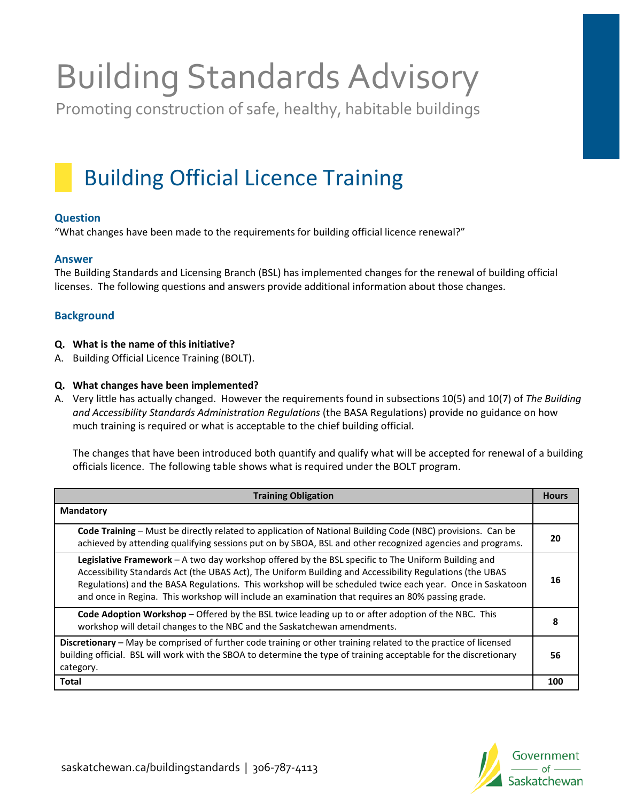# Building Standards Advisory

Promoting construction of safe, healthy, habitable buildings

## Building Official Licence Training

#### **Question**

"What changes have been made to the requirements for building official licence renewal?"

#### **Answer**

The Building Standards and Licensing Branch (BSL) has implemented changes for the renewal of building official licenses. The following questions and answers provide additional information about those changes.

### **Background**

- **Q. What is the name of this initiative?**
- A. Building Official Licence Training (BOLT).

#### **Q. What changes have been implemented?**

A. Very little has actually changed. However the requirements found in subsections 10(5) and 10(7) of *The Building and Accessibility Standards Administration Regulations* (the BASA Regulations) provide no guidance on how much training is required or what is acceptable to the chief building official.

The changes that have been introduced both quantify and qualify what will be accepted for renewal of a building officials licence. The following table shows what is required under the BOLT program.

| <b>Training Obligation</b>                                                                                                                                                                                                                                                                                                                                                                                                       | <b>Hours</b> |
|----------------------------------------------------------------------------------------------------------------------------------------------------------------------------------------------------------------------------------------------------------------------------------------------------------------------------------------------------------------------------------------------------------------------------------|--------------|
| <b>Mandatory</b>                                                                                                                                                                                                                                                                                                                                                                                                                 |              |
| Code Training - Must be directly related to application of National Building Code (NBC) provisions. Can be<br>achieved by attending qualifying sessions put on by SBOA, BSL and other recognized agencies and programs.                                                                                                                                                                                                          | 20           |
| Legislative Framework - A two day workshop offered by the BSL specific to The Uniform Building and<br>Accessibility Standards Act (the UBAS Act), The Uniform Building and Accessibility Regulations (the UBAS<br>Regulations) and the BASA Regulations. This workshop will be scheduled twice each year. Once in Saskatoon<br>and once in Regina. This workshop will include an examination that requires an 80% passing grade. | 16           |
| <b>Code Adoption Workshop</b> – Offered by the BSL twice leading up to or after adoption of the NBC. This<br>workshop will detail changes to the NBC and the Saskatchewan amendments.                                                                                                                                                                                                                                            | 8            |
| Discretionary - May be comprised of further code training or other training related to the practice of licensed<br>building official. BSL will work with the SBOA to determine the type of training acceptable for the discretionary<br>category.                                                                                                                                                                                | 56           |
| Total                                                                                                                                                                                                                                                                                                                                                                                                                            | 100          |

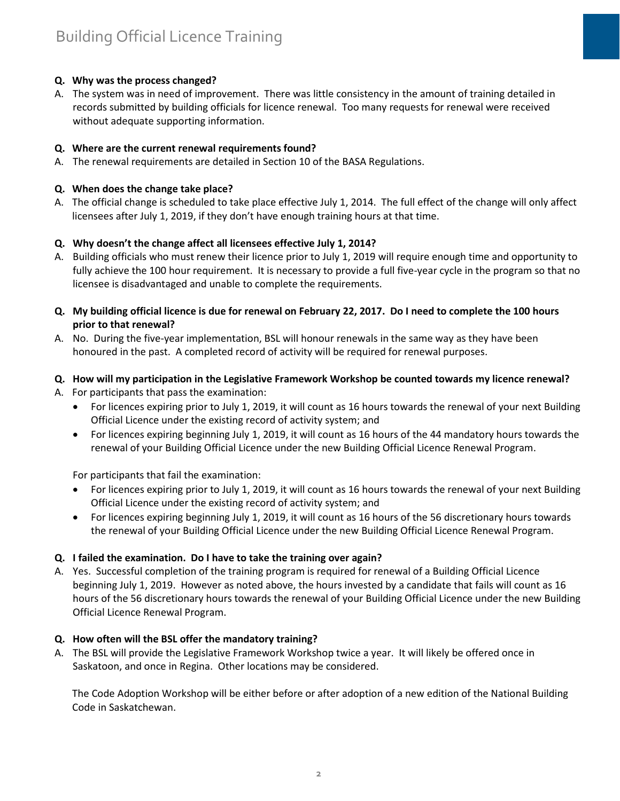#### **Q. Why was the process changed?**

A. The system was in need of improvement. There was little consistency in the amount of training detailed in records submitted by building officials for licence renewal. Too many requests for renewal were received without adequate supporting information.

#### **Q. Where are the current renewal requirements found?**

A. The renewal requirements are detailed in Section 10 of the BASA Regulations.

#### **Q. When does the change take place?**

A. The official change is scheduled to take place effective July 1, 2014. The full effect of the change will only affect licensees after July 1, 2019, if they don't have enough training hours at that time.

#### **Q. Why doesn't the change affect all licensees effective July 1, 2014?**

- A. Building officials who must renew their licence prior to July 1, 2019 will require enough time and opportunity to fully achieve the 100 hour requirement. It is necessary to provide a full five-year cycle in the program so that no licensee is disadvantaged and unable to complete the requirements.
- **Q. My building official licence is due for renewal on February 22, 2017. Do I need to complete the 100 hours prior to that renewal?**
- A. No. During the five-year implementation, BSL will honour renewals in the same way as they have been honoured in the past. A completed record of activity will be required for renewal purposes.

#### **Q. How will my participation in the Legislative Framework Workshop be counted towards my licence renewal?**

- A. For participants that pass the examination:
	- For licences expiring prior to July 1, 2019, it will count as 16 hours towards the renewal of your next Building Official Licence under the existing record of activity system; and
	- For licences expiring beginning July 1, 2019, it will count as 16 hours of the 44 mandatory hours towards the renewal of your Building Official Licence under the new Building Official Licence Renewal Program.

For participants that fail the examination:

- For licences expiring prior to July 1, 2019, it will count as 16 hours towards the renewal of your next Building Official Licence under the existing record of activity system; and
- For licences expiring beginning July 1, 2019, it will count as 16 hours of the 56 discretionary hours towards the renewal of your Building Official Licence under the new Building Official Licence Renewal Program.

#### **Q. I failed the examination. Do I have to take the training over again?**

A. Yes. Successful completion of the training program is required for renewal of a Building Official Licence beginning July 1, 2019. However as noted above, the hours invested by a candidate that fails will count as 16 hours of the 56 discretionary hours towards the renewal of your Building Official Licence under the new Building Official Licence Renewal Program.

#### **Q. How often will the BSL offer the mandatory training?**

A. The BSL will provide the Legislative Framework Workshop twice a year. It will likely be offered once in Saskatoon, and once in Regina. Other locations may be considered.

The Code Adoption Workshop will be either before or after adoption of a new edition of the National Building Code in Saskatchewan.